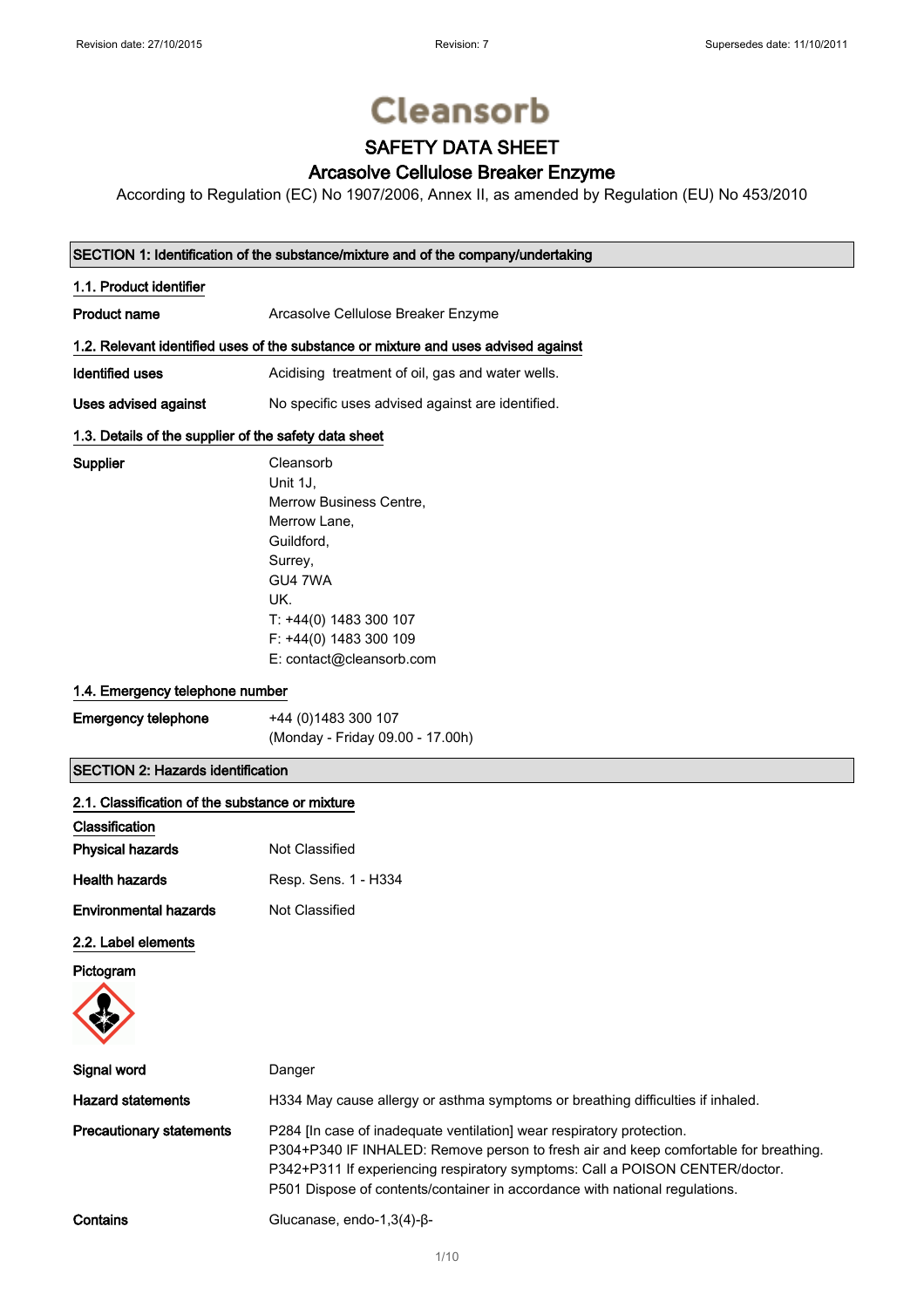Supplier

# **Cleansorb**

# SAFETY DATA SHEET

### Arcasolve Cellulose Breaker Enzyme

According to Regulation (EC) No 1907/2006, Annex II, as amended by Regulation (EU) No 453/2010

### SECTION 1: Identification of the substance/mixture and of the company/undertaking

| 1.1. Product identifier                                                            |                                                  |  |
|------------------------------------------------------------------------------------|--------------------------------------------------|--|
| Product name                                                                       | Arcasolve Cellulose Breaker Enzyme               |  |
| 1.2. Relevant identified uses of the substance or mixture and uses advised against |                                                  |  |
| Identified uses                                                                    | Acidising treatment of oil, gas and water wells. |  |
| Uses advised against                                                               | No specific uses advised against are identified. |  |

### 1.3. Details of the supplier of the safety data sheet

| Cleansorb                |
|--------------------------|
| Unit 1J.                 |
| Merrow Business Centre,  |
| Merrow Lane,             |
| Guildford,               |
| Surrey,                  |
| GU4 7WA                  |
| UK.                      |
| T: +44(0) 1483 300 107   |
| F: +44(0) 1483 300 109   |
| E: contact@cleansorb.com |

### 1.4. Emergency telephone number

| <b>Emergency telephone</b> | +44 (0) 1483 300 107             |
|----------------------------|----------------------------------|
|                            | (Monday - Friday 09.00 - 17.00h) |

### SECTION 2: Hazards identification

| 2.1. Classification of the substance or mixture |                                                                                                                                                                                                                                                                                                                              |
|-------------------------------------------------|------------------------------------------------------------------------------------------------------------------------------------------------------------------------------------------------------------------------------------------------------------------------------------------------------------------------------|
| Classification                                  |                                                                                                                                                                                                                                                                                                                              |
| <b>Physical hazards</b>                         | Not Classified                                                                                                                                                                                                                                                                                                               |
| <b>Health hazards</b>                           | Resp. Sens. 1 - H334                                                                                                                                                                                                                                                                                                         |
| <b>Environmental hazards</b>                    | Not Classified                                                                                                                                                                                                                                                                                                               |
| 2.2. Label elements                             |                                                                                                                                                                                                                                                                                                                              |
| Pictogram                                       |                                                                                                                                                                                                                                                                                                                              |
| Signal word                                     | Danger                                                                                                                                                                                                                                                                                                                       |
| <b>Hazard statements</b>                        | H334 May cause allergy or asthma symptoms or breathing difficulties if inhaled.                                                                                                                                                                                                                                              |
| <b>Precautionary statements</b>                 | P284 [In case of inadequate ventilation] wear respiratory protection.<br>P304+P340 IF INHALED: Remove person to fresh air and keep comfortable for breathing.<br>P342+P311 If experiencing respiratory symptoms: Call a POISON CENTER/doctor.<br>P501 Dispose of contents/container in accordance with national regulations. |
| Contains                                        | Glucanase, endo-1,3(4)- $\beta$ -                                                                                                                                                                                                                                                                                            |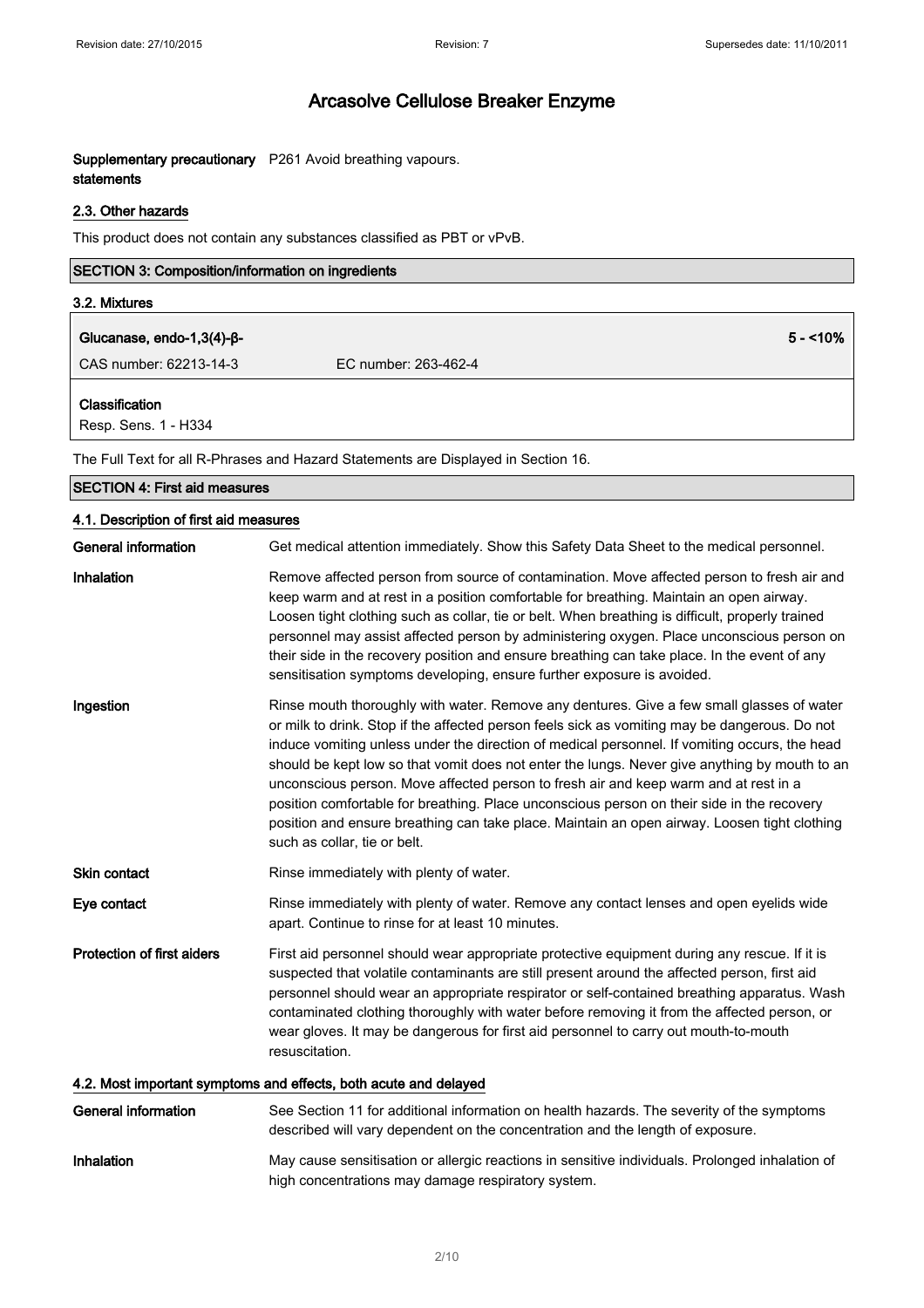### Supplementary precautionary P261 Avoid breathing vapours. statements

### 2.3. Other hazards

This product does not contain any substances classified as PBT or vPvB.

| <b>SECTION 3: Composition/information on ingredients</b> |                      |            |
|----------------------------------------------------------|----------------------|------------|
| 3.2. Mixtures                                            |                      |            |
| Glucanase, endo-1,3(4)- $\beta$ -                        |                      | $5 - 10\%$ |
| CAS number: 62213-14-3                                   | EC number: 263-462-4 |            |
| Classification<br>Resp. Sens. 1 - H334                   |                      |            |

The Full Text for all R-Phrases and Hazard Statements are Displayed in Section 16.

# SECTION 4: First aid measures 4.1. Description of first aid measures General information Get medical attention immediately. Show this Safety Data Sheet to the medical personnel. Inhalation Remove affected person from source of contamination. Move affected person to fresh air and keep warm and at rest in a position comfortable for breathing. Maintain an open airway. Loosen tight clothing such as collar, tie or belt. When breathing is difficult, properly trained personnel may assist affected person by administering oxygen. Place unconscious person on their side in the recovery position and ensure breathing can take place. In the event of any sensitisation symptoms developing, ensure further exposure is avoided. Ingestion **Rinse mouth thoroughly with water. Remove any dentures.** Give a few small glasses of water or milk to drink. Stop if the affected person feels sick as vomiting may be dangerous. Do not induce vomiting unless under the direction of medical personnel. If vomiting occurs, the head should be kept low so that vomit does not enter the lungs. Never give anything by mouth to an unconscious person. Move affected person to fresh air and keep warm and at rest in a position comfortable for breathing. Place unconscious person on their side in the recovery position and ensure breathing can take place. Maintain an open airway. Loosen tight clothing such as collar, tie or belt. Skin contact **Rinse immediately with plenty of water.** Eye contact **Rinse immediately with plenty of water. Remove any contact lenses and open eyelids wide** apart. Continue to rinse for at least 10 minutes. Protection of first aiders First aid personnel should wear appropriate protective equipment during any rescue. If it is suspected that volatile contaminants are still present around the affected person, first aid personnel should wear an appropriate respirator or self-contained breathing apparatus. Wash contaminated clothing thoroughly with water before removing it from the affected person, or wear gloves. It may be dangerous for first aid personnel to carry out mouth-to-mouth resuscitation. 4.2. Most important symptoms and effects, both acute and delayed General information See Section 11 for additional information on health hazards. The severity of the symptoms described will vary dependent on the concentration and the length of exposure.

Inhalation **May cause sensitisation or allergic reactions in sensitive individuals. Prolonged inhalation of** high concentrations may damage respiratory system.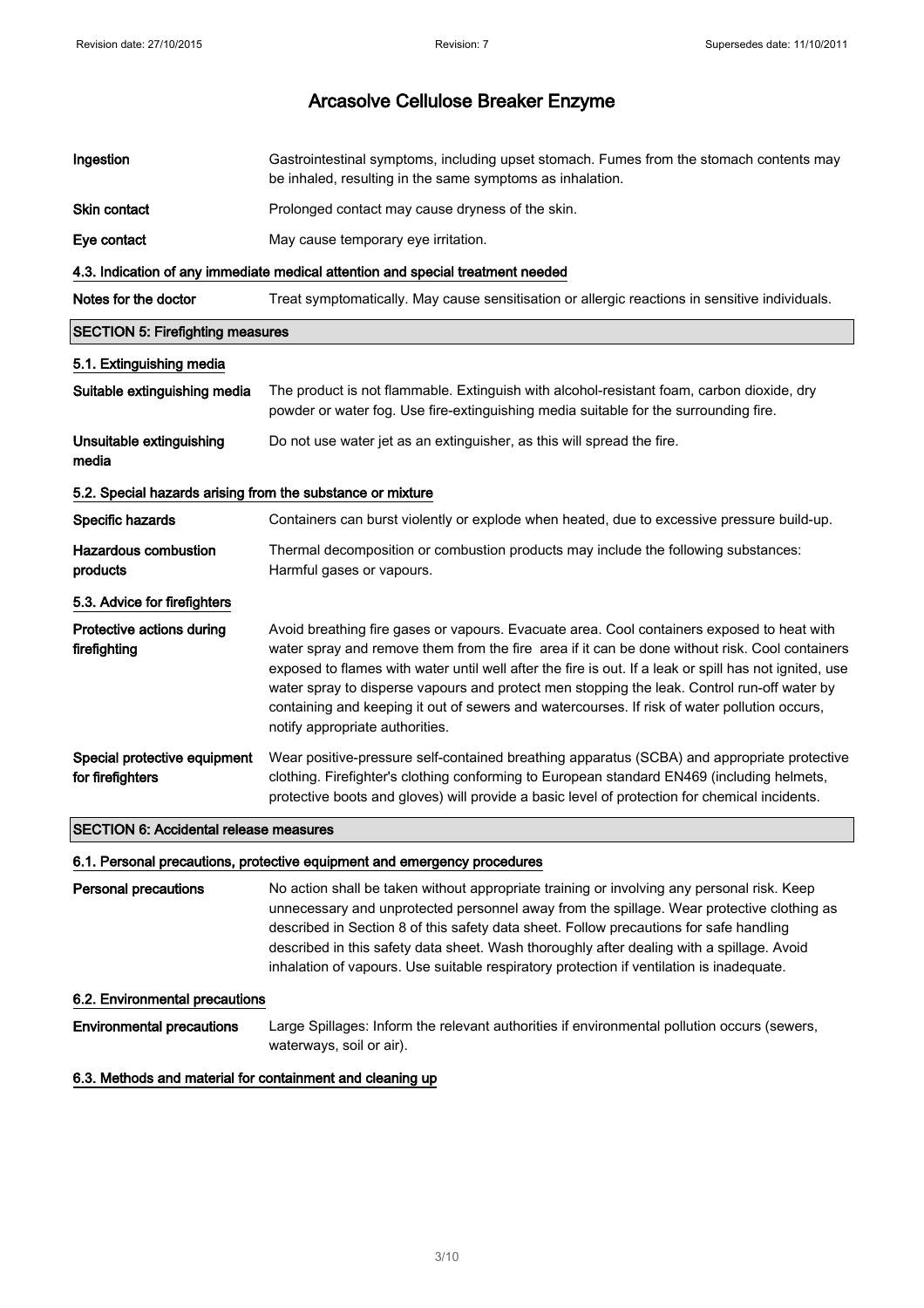| Ingestion                                                  | Gastrointestinal symptoms, including upset stomach. Fumes from the stomach contents may<br>be inhaled, resulting in the same symptoms as inhalation.                                                                                                                                                                                                                                                                                                                                                                                     |
|------------------------------------------------------------|------------------------------------------------------------------------------------------------------------------------------------------------------------------------------------------------------------------------------------------------------------------------------------------------------------------------------------------------------------------------------------------------------------------------------------------------------------------------------------------------------------------------------------------|
| Skin contact                                               | Prolonged contact may cause dryness of the skin.                                                                                                                                                                                                                                                                                                                                                                                                                                                                                         |
| Eye contact                                                | May cause temporary eye irritation.                                                                                                                                                                                                                                                                                                                                                                                                                                                                                                      |
|                                                            | 4.3. Indication of any immediate medical attention and special treatment needed                                                                                                                                                                                                                                                                                                                                                                                                                                                          |
| Notes for the doctor                                       | Treat symptomatically. May cause sensitisation or allergic reactions in sensitive individuals.                                                                                                                                                                                                                                                                                                                                                                                                                                           |
| <b>SECTION 5: Firefighting measures</b>                    |                                                                                                                                                                                                                                                                                                                                                                                                                                                                                                                                          |
| 5.1. Extinguishing media                                   |                                                                                                                                                                                                                                                                                                                                                                                                                                                                                                                                          |
| Suitable extinguishing media                               | The product is not flammable. Extinguish with alcohol-resistant foam, carbon dioxide, dry<br>powder or water fog. Use fire-extinguishing media suitable for the surrounding fire.                                                                                                                                                                                                                                                                                                                                                        |
| Unsuitable extinguishing<br>media                          | Do not use water jet as an extinguisher, as this will spread the fire.                                                                                                                                                                                                                                                                                                                                                                                                                                                                   |
| 5.2. Special hazards arising from the substance or mixture |                                                                                                                                                                                                                                                                                                                                                                                                                                                                                                                                          |
| Specific hazards                                           | Containers can burst violently or explode when heated, due to excessive pressure build-up.                                                                                                                                                                                                                                                                                                                                                                                                                                               |
| <b>Hazardous combustion</b><br>products                    | Thermal decomposition or combustion products may include the following substances:<br>Harmful gases or vapours.                                                                                                                                                                                                                                                                                                                                                                                                                          |
| 5.3. Advice for firefighters                               |                                                                                                                                                                                                                                                                                                                                                                                                                                                                                                                                          |
| Protective actions during<br>firefighting                  | Avoid breathing fire gases or vapours. Evacuate area. Cool containers exposed to heat with<br>water spray and remove them from the fire area if it can be done without risk. Cool containers<br>exposed to flames with water until well after the fire is out. If a leak or spill has not ignited, use<br>water spray to disperse vapours and protect men stopping the leak. Control run-off water by<br>containing and keeping it out of sewers and watercourses. If risk of water pollution occurs,<br>notify appropriate authorities. |
| Special protective equipment<br>for firefighters           | Wear positive-pressure self-contained breathing apparatus (SCBA) and appropriate protective<br>clothing. Firefighter's clothing conforming to European standard EN469 (including helmets,<br>protective boots and gloves) will provide a basic level of protection for chemical incidents.                                                                                                                                                                                                                                               |
| <b>SECTION 6: Accidental release measures</b>              |                                                                                                                                                                                                                                                                                                                                                                                                                                                                                                                                          |

### 6.1. Personal precautions, protective equipment and emergency procedures

Personal precautions No action shall be taken without appropriate training or involving any personal risk. Keep unnecessary and unprotected personnel away from the spillage. Wear protective clothing as described in Section 8 of this safety data sheet. Follow precautions for safe handling described in this safety data sheet. Wash thoroughly after dealing with a spillage. Avoid inhalation of vapours. Use suitable respiratory protection if ventilation is inadequate.

### 6.2. Environmental precautions

Environmental precautions Large Spillages: Inform the relevant authorities if environmental pollution occurs (sewers, waterways, soil or air).

### 6.3. Methods and material for containment and cleaning up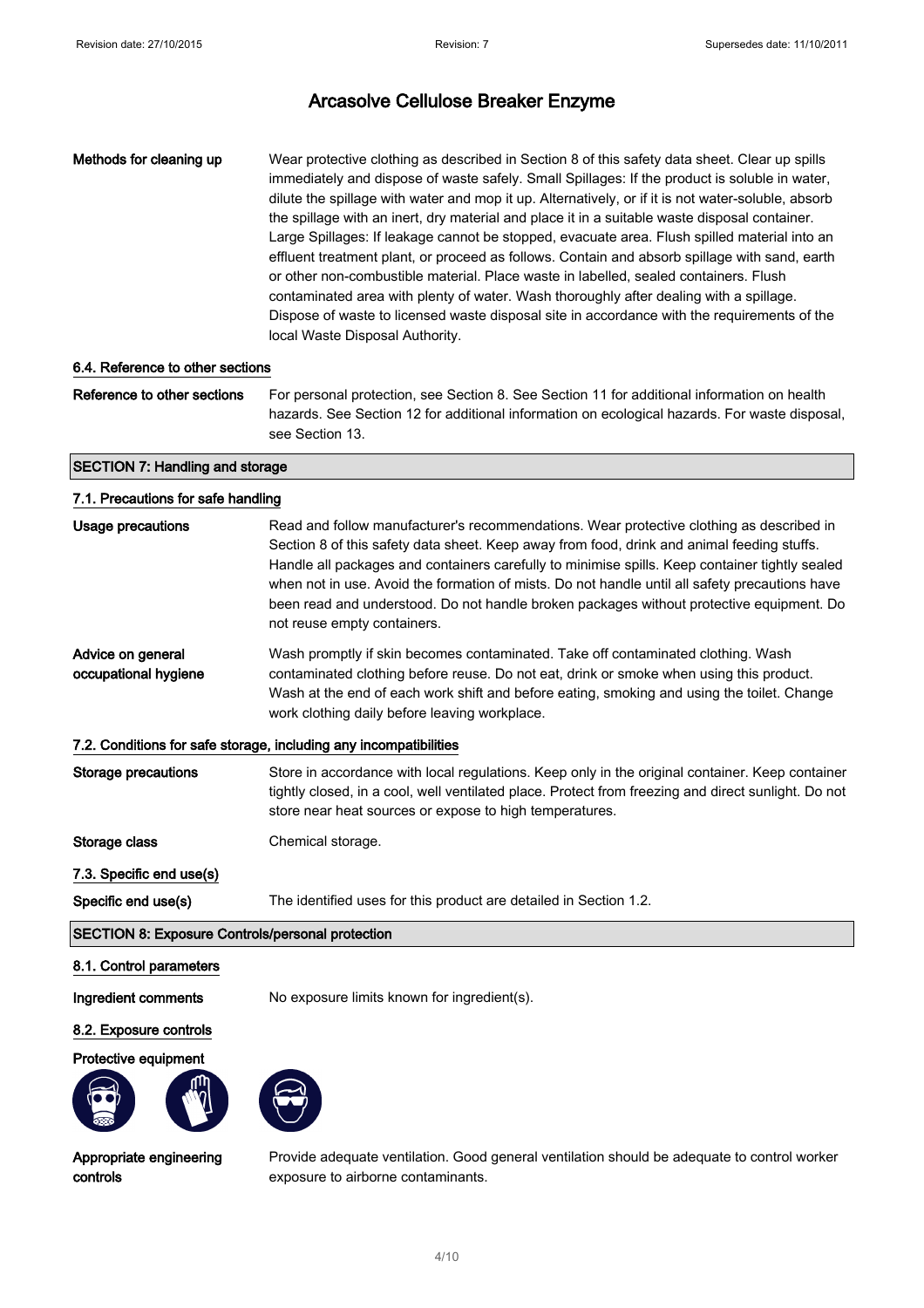Methods for cleaning up Wear protective clothing as described in Section 8 of this safety data sheet. Clear up spills immediately and dispose of waste safely. Small Spillages: If the product is soluble in water, dilute the spillage with water and mop it up. Alternatively, or if it is not water-soluble, absorb the spillage with an inert, dry material and place it in a suitable waste disposal container. Large Spillages: If leakage cannot be stopped, evacuate area. Flush spilled material into an effluent treatment plant, or proceed as follows. Contain and absorb spillage with sand, earth or other non-combustible material. Place waste in labelled, sealed containers. Flush contaminated area with plenty of water. Wash thoroughly after dealing with a spillage. Dispose of waste to licensed waste disposal site in accordance with the requirements of the local Waste Disposal Authority.

### 6.4. Reference to other sections

Reference to other sections For personal protection, see Section 8. See Section 11 for additional information on health hazards. See Section 12 for additional information on ecological hazards. For waste disposal, see Section 13.

### SECTION 7: Handling and storage

### 7.1. Precautions for safe handling

| Usage precautions                                       | Read and follow manufacturer's recommendations. Wear protective clothing as described in<br>Section 8 of this safety data sheet. Keep away from food, drink and animal feeding stuffs.<br>Handle all packages and containers carefully to minimise spills. Keep container tightly sealed<br>when not in use. Avoid the formation of mists. Do not handle until all safety precautions have<br>been read and understood. Do not handle broken packages without protective equipment. Do<br>not reuse empty containers. |
|---------------------------------------------------------|-----------------------------------------------------------------------------------------------------------------------------------------------------------------------------------------------------------------------------------------------------------------------------------------------------------------------------------------------------------------------------------------------------------------------------------------------------------------------------------------------------------------------|
| Advice on general<br>occupational hygiene               | Wash promptly if skin becomes contaminated. Take off contaminated clothing. Wash<br>contaminated clothing before reuse. Do not eat, drink or smoke when using this product.<br>Wash at the end of each work shift and before eating, smoking and using the toilet. Change<br>work clothing daily before leaving workplace.                                                                                                                                                                                            |
|                                                         | 7.2. Conditions for safe storage, including any incompatibilities                                                                                                                                                                                                                                                                                                                                                                                                                                                     |
| <b>Storage precautions</b>                              | Store in accordance with local regulations. Keep only in the original container. Keep container<br>tightly closed, in a cool, well ventilated place. Protect from freezing and direct sunlight. Do not<br>store near heat sources or expose to high temperatures.                                                                                                                                                                                                                                                     |
| Storage class                                           | Chemical storage.                                                                                                                                                                                                                                                                                                                                                                                                                                                                                                     |
| 7.3. Specific end use(s)                                |                                                                                                                                                                                                                                                                                                                                                                                                                                                                                                                       |
| Specific end use(s)                                     | The identified uses for this product are detailed in Section 1.2.                                                                                                                                                                                                                                                                                                                                                                                                                                                     |
| <b>SECTION 8: Exposure Controls/personal protection</b> |                                                                                                                                                                                                                                                                                                                                                                                                                                                                                                                       |

### 8.1. Control parameters

Ingredient comments No exposure limits known for ingredient(s).

### 8.2. Exposure controls

### Protective equipment





Appropriate engineering controls

Provide adequate ventilation. Good general ventilation should be adequate to control worker exposure to airborne contaminants.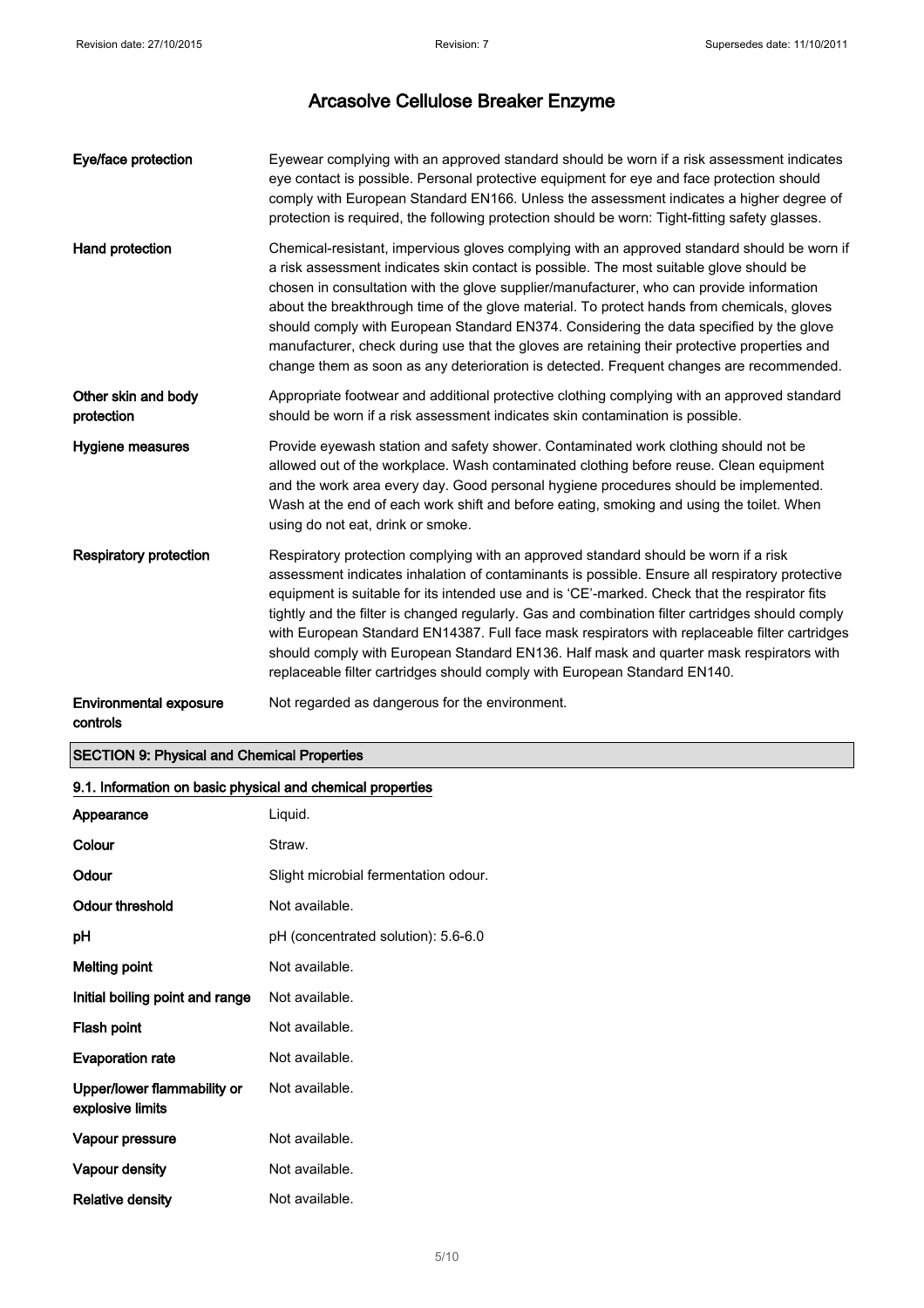| Eye/face protection                       | Eyewear complying with an approved standard should be worn if a risk assessment indicates<br>eye contact is possible. Personal protective equipment for eye and face protection should<br>comply with European Standard EN166. Unless the assessment indicates a higher degree of<br>protection is required, the following protection should be worn: Tight-fitting safety glasses.                                                                                                                                                                                                                                                                                    |
|-------------------------------------------|------------------------------------------------------------------------------------------------------------------------------------------------------------------------------------------------------------------------------------------------------------------------------------------------------------------------------------------------------------------------------------------------------------------------------------------------------------------------------------------------------------------------------------------------------------------------------------------------------------------------------------------------------------------------|
| Hand protection                           | Chemical-resistant, impervious gloves complying with an approved standard should be worn if<br>a risk assessment indicates skin contact is possible. The most suitable glove should be<br>chosen in consultation with the glove supplier/manufacturer, who can provide information<br>about the breakthrough time of the glove material. To protect hands from chemicals, gloves<br>should comply with European Standard EN374. Considering the data specified by the glove<br>manufacturer, check during use that the gloves are retaining their protective properties and<br>change them as soon as any deterioration is detected. Frequent changes are recommended. |
| Other skin and body<br>protection         | Appropriate footwear and additional protective clothing complying with an approved standard<br>should be worn if a risk assessment indicates skin contamination is possible.                                                                                                                                                                                                                                                                                                                                                                                                                                                                                           |
| Hygiene measures                          | Provide eyewash station and safety shower. Contaminated work clothing should not be<br>allowed out of the workplace. Wash contaminated clothing before reuse. Clean equipment<br>and the work area every day. Good personal hygiene procedures should be implemented.<br>Wash at the end of each work shift and before eating, smoking and using the toilet. When<br>using do not eat, drink or smoke.                                                                                                                                                                                                                                                                 |
| <b>Respiratory protection</b>             | Respiratory protection complying with an approved standard should be worn if a risk<br>assessment indicates inhalation of contaminants is possible. Ensure all respiratory protective<br>equipment is suitable for its intended use and is 'CE'-marked. Check that the respirator fits<br>tightly and the filter is changed regularly. Gas and combination filter cartridges should comply<br>with European Standard EN14387. Full face mask respirators with replaceable filter cartridges<br>should comply with European Standard EN136. Half mask and quarter mask respirators with<br>replaceable filter cartridges should comply with European Standard EN140.    |
| <b>Environmental exposure</b><br>controls | Not regarded as dangerous for the environment.                                                                                                                                                                                                                                                                                                                                                                                                                                                                                                                                                                                                                         |

### SECTION 9: Physical and Chemical Properties

| 9.1. Information on basic physical and chemical properties |                                      |  |
|------------------------------------------------------------|--------------------------------------|--|
| Appearance                                                 | Liquid.                              |  |
| Colour                                                     | Straw.                               |  |
| Odour                                                      | Slight microbial fermentation odour. |  |
| <b>Odour threshold</b>                                     | Not available.                       |  |
| рH                                                         | pH (concentrated solution): 5.6-6.0  |  |
| <b>Melting point</b>                                       | Not available.                       |  |
| Initial boiling point and range                            | Not available.                       |  |
| Flash point                                                | Not available.                       |  |
| <b>Evaporation rate</b>                                    | Not available.                       |  |
| Upper/lower flammability or<br>explosive limits            | Not available.                       |  |
| Vapour pressure                                            | Not available.                       |  |
| Vapour density                                             | Not available.                       |  |
| <b>Relative density</b>                                    | Not available.                       |  |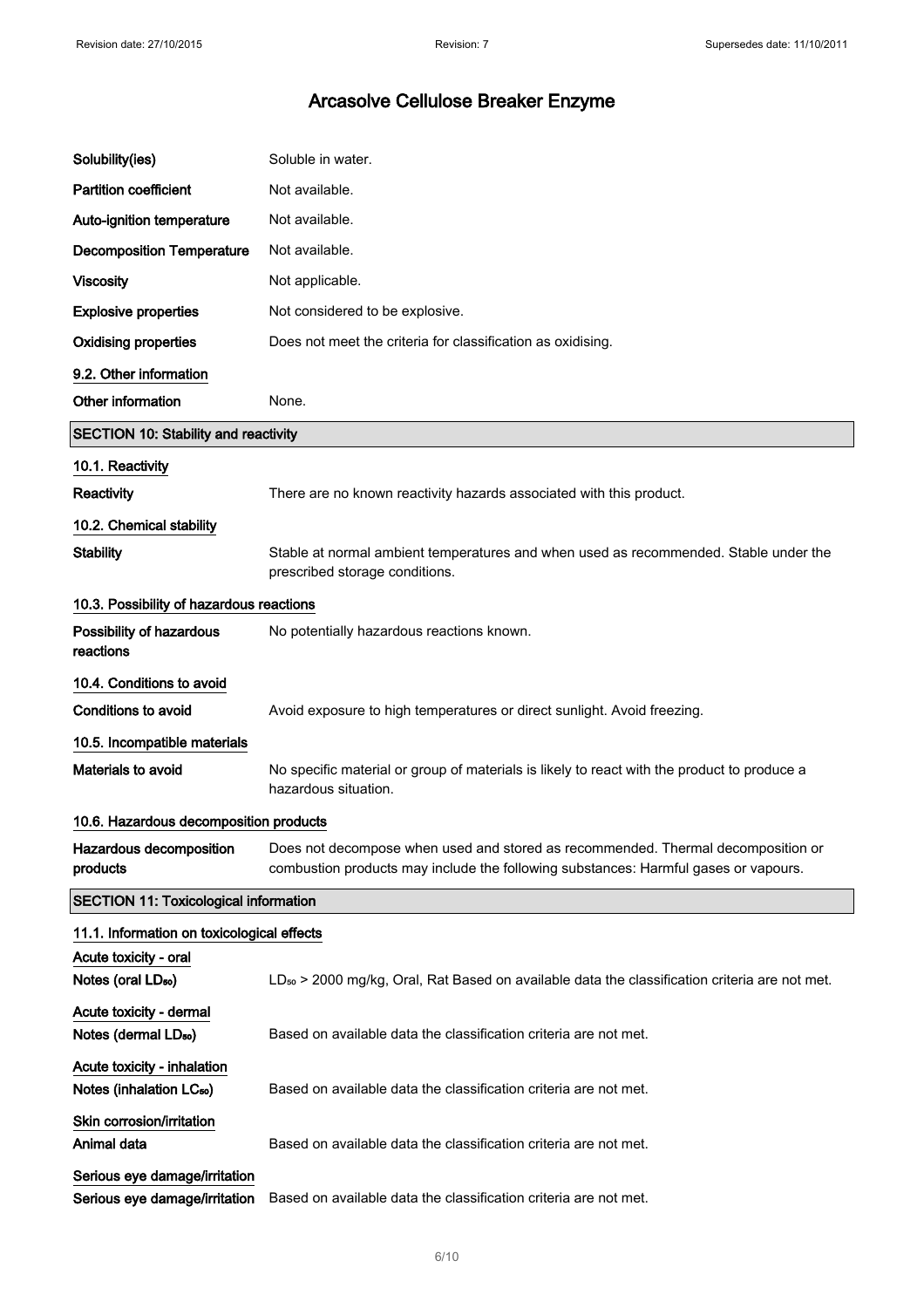| Solubility(ies)                                                     | Soluble in water.                                                                                                                                                       |
|---------------------------------------------------------------------|-------------------------------------------------------------------------------------------------------------------------------------------------------------------------|
| <b>Partition coefficient</b>                                        | Not available.                                                                                                                                                          |
| Auto-ignition temperature                                           | Not available.                                                                                                                                                          |
| <b>Decomposition Temperature</b>                                    | Not available.                                                                                                                                                          |
| <b>Viscosity</b>                                                    | Not applicable.                                                                                                                                                         |
| <b>Explosive properties</b>                                         | Not considered to be explosive.                                                                                                                                         |
| <b>Oxidising properties</b>                                         | Does not meet the criteria for classification as oxidising.                                                                                                             |
| 9.2. Other information                                              |                                                                                                                                                                         |
| Other information                                                   | None.                                                                                                                                                                   |
| <b>SECTION 10: Stability and reactivity</b>                         |                                                                                                                                                                         |
| 10.1. Reactivity                                                    |                                                                                                                                                                         |
| <b>Reactivity</b>                                                   | There are no known reactivity hazards associated with this product.                                                                                                     |
| 10.2. Chemical stability                                            |                                                                                                                                                                         |
| <b>Stability</b>                                                    | Stable at normal ambient temperatures and when used as recommended. Stable under the<br>prescribed storage conditions.                                                  |
| 10.3. Possibility of hazardous reactions                            |                                                                                                                                                                         |
| Possibility of hazardous<br>reactions                               | No potentially hazardous reactions known.                                                                                                                               |
| 10.4. Conditions to avoid                                           |                                                                                                                                                                         |
| Conditions to avoid                                                 | Avoid exposure to high temperatures or direct sunlight. Avoid freezing.                                                                                                 |
| 10.5. Incompatible materials                                        |                                                                                                                                                                         |
| Materials to avoid                                                  | No specific material or group of materials is likely to react with the product to produce a<br>hazardous situation.                                                     |
| 10.6. Hazardous decomposition products                              |                                                                                                                                                                         |
| Hazardous decomposition<br>products                                 | Does not decompose when used and stored as recommended. Thermal decomposition or<br>combustion products may include the following substances: Harmful gases or vapours. |
| <b>SECTION 11: Toxicological information</b>                        |                                                                                                                                                                         |
| 11.1. Information on toxicological effects                          |                                                                                                                                                                         |
| Acute toxicity - oral                                               |                                                                                                                                                                         |
| Notes (oral LD <sub>50</sub> )                                      | LD <sub>50</sub> > 2000 mg/kg, Oral, Rat Based on available data the classification criteria are not met.                                                               |
| Acute toxicity - dermal<br>Notes (dermal LD <sub>50</sub> )         | Based on available data the classification criteria are not met.                                                                                                        |
| Acute toxicity - inhalation<br>Notes (inhalation LC <sub>50</sub> ) | Based on available data the classification criteria are not met.                                                                                                        |
| Skin corrosion/irritation<br>Animal data                            | Based on available data the classification criteria are not met.                                                                                                        |
| Serious eye damage/irritation<br>Serious eye damage/irritation      | Based on available data the classification criteria are not met.                                                                                                        |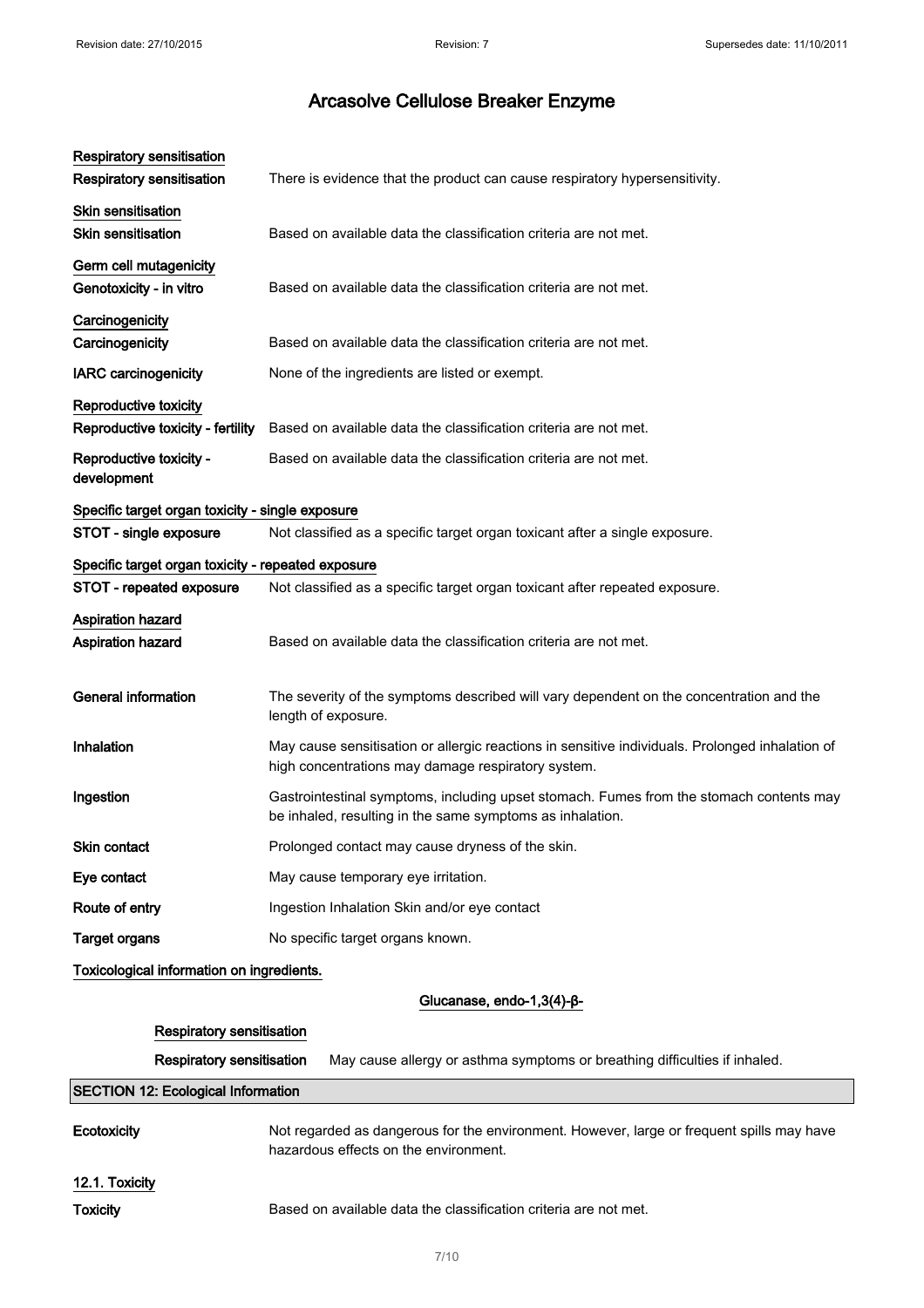| <b>Respiratory sensitisation</b><br><b>Respiratory sensitisation</b>       | There is evidence that the product can cause respiratory hypersensitivity.                                                                            |
|----------------------------------------------------------------------------|-------------------------------------------------------------------------------------------------------------------------------------------------------|
| Skin sensitisation<br><b>Skin sensitisation</b>                            | Based on available data the classification criteria are not met.                                                                                      |
| Germ cell mutagenicity<br>Genotoxicity - in vitro                          | Based on available data the classification criteria are not met.                                                                                      |
| Carcinogenicity<br>Carcinogenicity                                         | Based on available data the classification criteria are not met.                                                                                      |
| <b>IARC</b> carcinogenicity                                                | None of the ingredients are listed or exempt.                                                                                                         |
| Reproductive toxicity<br>Reproductive toxicity - fertility                 | Based on available data the classification criteria are not met.                                                                                      |
| Reproductive toxicity -<br>development                                     | Based on available data the classification criteria are not met.                                                                                      |
| Specific target organ toxicity - single exposure<br>STOT - single exposure | Not classified as a specific target organ toxicant after a single exposure.                                                                           |
| Specific target organ toxicity - repeated exposure                         |                                                                                                                                                       |
| STOT - repeated exposure                                                   | Not classified as a specific target organ toxicant after repeated exposure.                                                                           |
| <b>Aspiration hazard</b><br>Aspiration hazard                              | Based on available data the classification criteria are not met.                                                                                      |
| <b>General information</b>                                                 | The severity of the symptoms described will vary dependent on the concentration and the<br>length of exposure.                                        |
| Inhalation                                                                 | May cause sensitisation or allergic reactions in sensitive individuals. Prolonged inhalation of<br>high concentrations may damage respiratory system. |
| Ingestion                                                                  | Gastrointestinal symptoms, including upset stomach. Fumes from the stomach contents may<br>be inhaled, resulting in the same symptoms as inhalation.  |
| Skin contact                                                               | Prolonged contact may cause dryness of the skin.                                                                                                      |
| Eye contact                                                                | May cause temporary eye irritation.                                                                                                                   |
| Route of entry                                                             | Ingestion Inhalation Skin and/or eye contact                                                                                                          |
| <b>Target organs</b>                                                       | No specific target organs known.                                                                                                                      |
| Toxicological information on ingredients.                                  |                                                                                                                                                       |

Glucanase, endo-1,3(4)-β-

### Respiratory sensitisation

Respiratory sensitisation May cause allergy or asthma symptoms or breathing difficulties if inhaled.

### SECTION 12: Ecological Information

| Ecotoxicity    | Not regarded as dangerous for the environment. However, large or frequent spills may have<br>hazardous effects on the environment. |
|----------------|------------------------------------------------------------------------------------------------------------------------------------|
| 12.1. Toxicity |                                                                                                                                    |

Toxicity Based on available data the classification criteria are not met.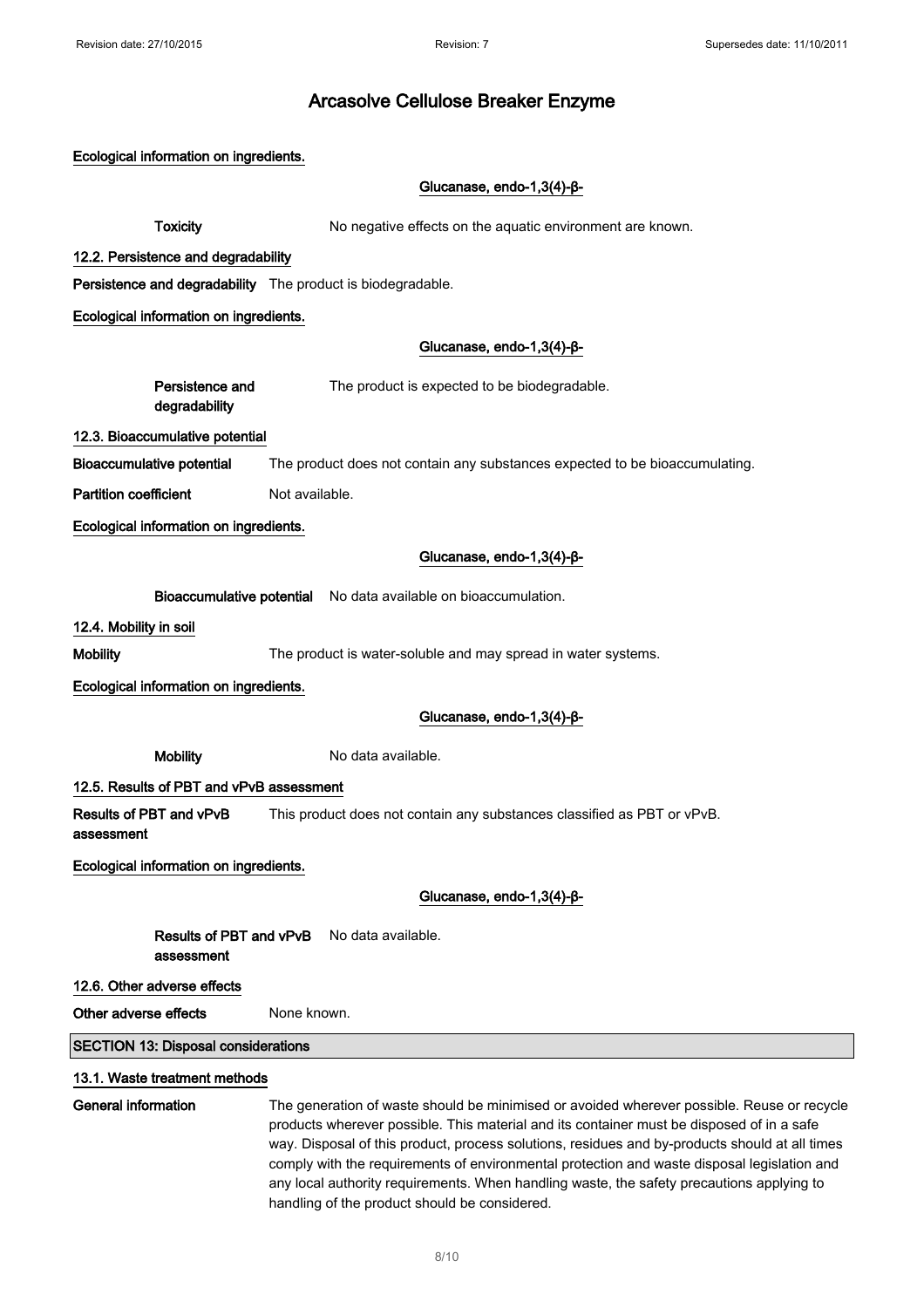| Ecological information on ingredients.       |                                                                                                                                                                                                                                                                                                                                                                                          |
|----------------------------------------------|------------------------------------------------------------------------------------------------------------------------------------------------------------------------------------------------------------------------------------------------------------------------------------------------------------------------------------------------------------------------------------------|
|                                              | Glucanase, endo-1,3(4)- $\beta$ -                                                                                                                                                                                                                                                                                                                                                        |
| <b>Toxicity</b>                              | No negative effects on the aquatic environment are known.                                                                                                                                                                                                                                                                                                                                |
| 12.2. Persistence and degradability          |                                                                                                                                                                                                                                                                                                                                                                                          |
|                                              | Persistence and degradability The product is biodegradable.                                                                                                                                                                                                                                                                                                                              |
| Ecological information on ingredients.       |                                                                                                                                                                                                                                                                                                                                                                                          |
|                                              | Glucanase, endo-1,3(4)- $\beta$ -                                                                                                                                                                                                                                                                                                                                                        |
| Persistence and<br>degradability             | The product is expected to be biodegradable.                                                                                                                                                                                                                                                                                                                                             |
| 12.3. Bioaccumulative potential              |                                                                                                                                                                                                                                                                                                                                                                                          |
| <b>Bioaccumulative potential</b>             | The product does not contain any substances expected to be bioaccumulating.                                                                                                                                                                                                                                                                                                              |
| <b>Partition coefficient</b>                 | Not available.                                                                                                                                                                                                                                                                                                                                                                           |
| Ecological information on ingredients.       |                                                                                                                                                                                                                                                                                                                                                                                          |
|                                              | Glucanase, endo-1,3(4)-β-                                                                                                                                                                                                                                                                                                                                                                |
|                                              | Bioaccumulative potential No data available on bioaccumulation.                                                                                                                                                                                                                                                                                                                          |
| 12.4. Mobility in soil                       |                                                                                                                                                                                                                                                                                                                                                                                          |
| <b>Mobility</b>                              | The product is water-soluble and may spread in water systems.                                                                                                                                                                                                                                                                                                                            |
| Ecological information on ingredients.       |                                                                                                                                                                                                                                                                                                                                                                                          |
|                                              | Glucanase, endo-1,3(4)-β-                                                                                                                                                                                                                                                                                                                                                                |
| <b>Mobility</b>                              | No data available.                                                                                                                                                                                                                                                                                                                                                                       |
| 12.5. Results of PBT and vPvB assessment     |                                                                                                                                                                                                                                                                                                                                                                                          |
| <b>Results of PBT and vPvB</b><br>assessment | This product does not contain any substances classified as PBT or vPvB.                                                                                                                                                                                                                                                                                                                  |
| Ecological information on ingredients.       |                                                                                                                                                                                                                                                                                                                                                                                          |
|                                              | Glucanase, endo-1,3(4)-β-                                                                                                                                                                                                                                                                                                                                                                |
| Results of PBT and vPvB<br>assessment        | No data available.                                                                                                                                                                                                                                                                                                                                                                       |
| 12.6. Other adverse effects                  |                                                                                                                                                                                                                                                                                                                                                                                          |
| Other adverse effects                        | None known.                                                                                                                                                                                                                                                                                                                                                                              |
| <b>SECTION 13: Disposal considerations</b>   |                                                                                                                                                                                                                                                                                                                                                                                          |
| 13.1. Waste treatment methods                |                                                                                                                                                                                                                                                                                                                                                                                          |
| <b>General information</b>                   | The generation of waste should be minimised or avoided wherever possible. Reuse or recycle<br>products wherever possible. This material and its container must be disposed of in a safe<br>way. Disposal of this product, process solutions, residues and by-products should at all times<br>comply with the requirements of environmental protection and waste disposal legislation and |

handling of the product should be considered.

any local authority requirements. When handling waste, the safety precautions applying to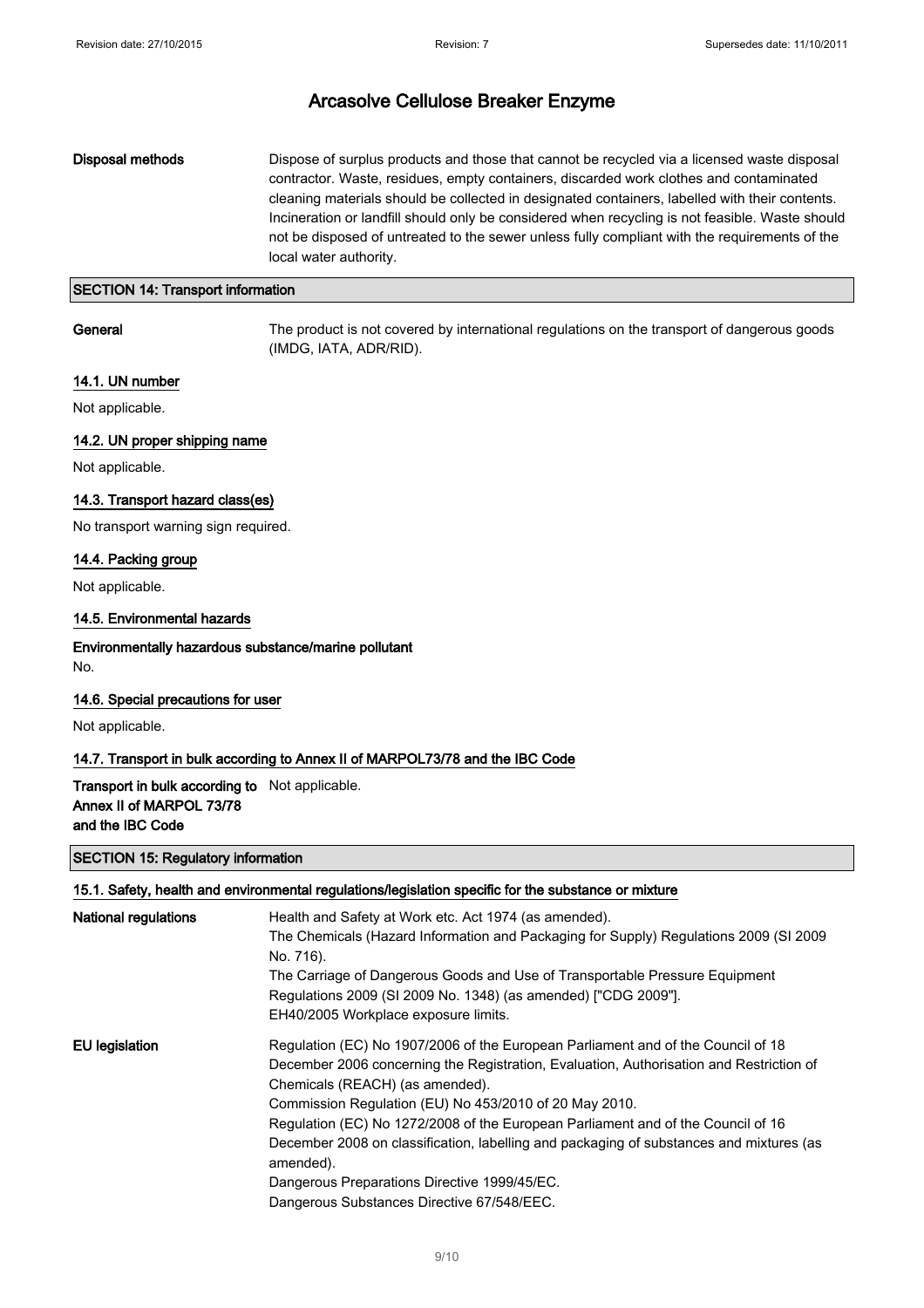### Disposal methods Dispose of surplus products and those that cannot be recycled via a licensed waste disposal contractor. Waste, residues, empty containers, discarded work clothes and contaminated cleaning materials should be collected in designated containers, labelled with their contents. Incineration or landfill should only be considered when recycling is not feasible. Waste should not be disposed of untreated to the sewer unless fully compliant with the requirements of the local water authority.

### SECTION 14: Transport information

General The product is not covered by international regulations on the transport of dangerous goods (IMDG, IATA, ADR/RID).

### 14.1. UN number

Not applicable.

### 14.2. UN proper shipping name

Not applicable.

### 14.3. Transport hazard class(es)

No transport warning sign required.

### 14.4. Packing group

Not applicable.

### 14.5. Environmental hazards

Environmentally hazardous substance/marine pollutant No.

### 14.6. Special precautions for user

Not applicable.

### 14.7. Transport in bulk according to Annex II of MARPOL73/78 and the IBC Code

### Transport in bulk according to Not applicable. Annex II of MARPOL 73/78 and the IBC Code

### SECTION 15: Regulatory information

| 15.1. Safety, health and environmental regulations/legislation specific for the substance or mixture |                                                                                                      |  |
|------------------------------------------------------------------------------------------------------|------------------------------------------------------------------------------------------------------|--|
| <b>National regulations</b>                                                                          | Health and Safety at Work etc. Act 1974 (as amended).                                                |  |
|                                                                                                      | The Chemicals (Hazard Information and Packaging for Supply) Regulations 2009 (SI 2009                |  |
|                                                                                                      | No. 716).                                                                                            |  |
|                                                                                                      | The Carriage of Dangerous Goods and Use of Transportable Pressure Equipment                          |  |
|                                                                                                      | Regulations 2009 (SI 2009 No. 1348) (as amended) ["CDG 2009"].                                       |  |
|                                                                                                      | EH40/2005 Workplace exposure limits.                                                                 |  |
| <b>EU</b> legislation                                                                                | Regulation (EC) No 1907/2006 of the European Parliament and of the Council of 18                     |  |
|                                                                                                      | December 2006 concerning the Registration, Evaluation, Authorisation and Restriction of              |  |
|                                                                                                      | Chemicals (REACH) (as amended).                                                                      |  |
|                                                                                                      | Commission Regulation (EU) No 453/2010 of 20 May 2010.                                               |  |
|                                                                                                      | Regulation (EC) No 1272/2008 of the European Parliament and of the Council of 16                     |  |
|                                                                                                      | December 2008 on classification, labelling and packaging of substances and mixtures (as<br>amended). |  |
|                                                                                                      | Dangerous Preparations Directive 1999/45/EC.                                                         |  |
|                                                                                                      | Dangerous Substances Directive 67/548/EEC.                                                           |  |